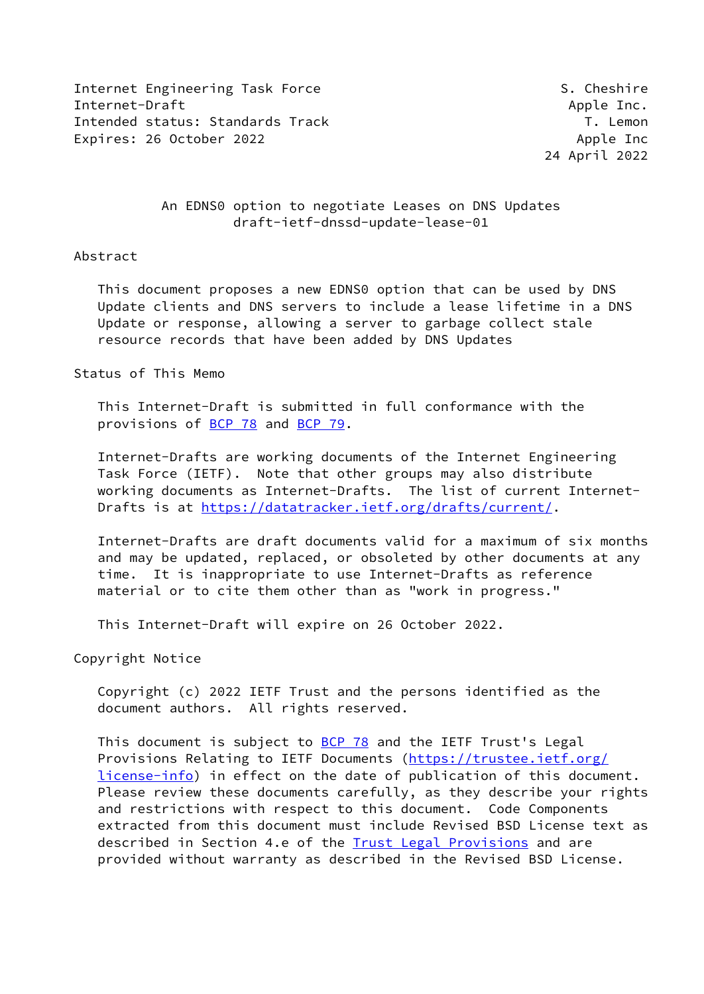Internet Engineering Task Force S. Cheshire S. Cheshire Internet-Draft Apple Inc. Intended status: Standards Track T. Lemon Expires: 26 October 2022 **Apple Inc** 8 Apple Inc

24 April 2022

### An EDNS0 option to negotiate Leases on DNS Updates draft-ietf-dnssd-update-lease-01

### Abstract

 This document proposes a new EDNS0 option that can be used by DNS Update clients and DNS servers to include a lease lifetime in a DNS Update or response, allowing a server to garbage collect stale resource records that have been added by DNS Updates

#### Status of This Memo

 This Internet-Draft is submitted in full conformance with the provisions of [BCP 78](https://datatracker.ietf.org/doc/pdf/bcp78) and [BCP 79](https://datatracker.ietf.org/doc/pdf/bcp79).

 Internet-Drafts are working documents of the Internet Engineering Task Force (IETF). Note that other groups may also distribute working documents as Internet-Drafts. The list of current Internet- Drafts is at<https://datatracker.ietf.org/drafts/current/>.

 Internet-Drafts are draft documents valid for a maximum of six months and may be updated, replaced, or obsoleted by other documents at any time. It is inappropriate to use Internet-Drafts as reference material or to cite them other than as "work in progress."

This Internet-Draft will expire on 26 October 2022.

Copyright Notice

 Copyright (c) 2022 IETF Trust and the persons identified as the document authors. All rights reserved.

This document is subject to **[BCP 78](https://datatracker.ietf.org/doc/pdf/bcp78)** and the IETF Trust's Legal Provisions Relating to IETF Documents ([https://trustee.ietf.org/](https://trustee.ietf.org/license-info) [license-info](https://trustee.ietf.org/license-info)) in effect on the date of publication of this document. Please review these documents carefully, as they describe your rights and restrictions with respect to this document. Code Components extracted from this document must include Revised BSD License text as described in Section 4.e of the **Trust Legal Provisions** and are provided without warranty as described in the Revised BSD License.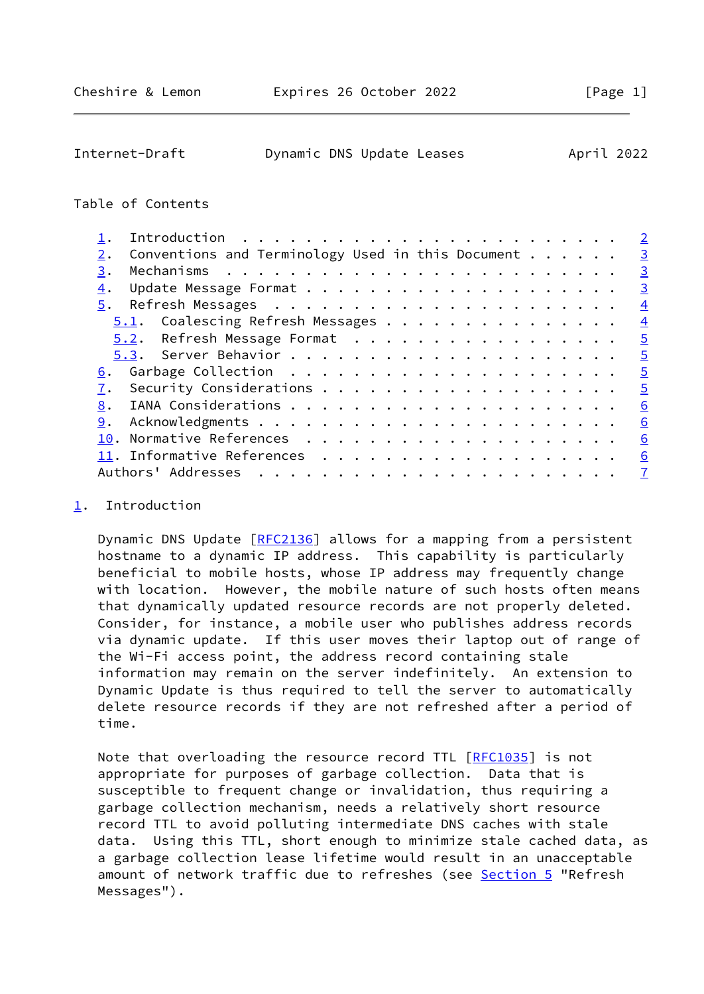<span id="page-1-1"></span>

| Internet-Draft | Dynamic DNS Update Leases | April 2022 |  |
|----------------|---------------------------|------------|--|
|                |                           |            |  |

### Table of Contents

|                                                           | $\overline{2}$ |
|-----------------------------------------------------------|----------------|
| Conventions and Terminology Used in this Document $\dots$ | $\overline{3}$ |
|                                                           | $\overline{3}$ |
|                                                           | $\overline{3}$ |
| 5.                                                        | $\overline{4}$ |
| 5.1. Coalescing Refresh Messages                          | $\overline{4}$ |
| 5.2. Refresh Message Format                               | $\overline{5}$ |
|                                                           | $\overline{5}$ |
| 6.                                                        | $\overline{5}$ |
|                                                           | $\overline{5}$ |
|                                                           | 6              |
|                                                           | 6              |
|                                                           | 6              |
|                                                           | 6              |
| Authors' Addresses                                        | $\mathbf{Z}$   |
|                                                           |                |

## <span id="page-1-0"></span>[1](#page-1-0). Introduction

Dynamic DNS Update [[RFC2136\]](https://datatracker.ietf.org/doc/pdf/rfc2136) allows for a mapping from a persistent hostname to a dynamic IP address. This capability is particularly beneficial to mobile hosts, whose IP address may frequently change with location. However, the mobile nature of such hosts often means that dynamically updated resource records are not properly deleted. Consider, for instance, a mobile user who publishes address records via dynamic update. If this user moves their laptop out of range of the Wi-Fi access point, the address record containing stale information may remain on the server indefinitely. An extension to Dynamic Update is thus required to tell the server to automatically delete resource records if they are not refreshed after a period of time.

Note that overloading the resource record TTL [[RFC1035](https://datatracker.ietf.org/doc/pdf/rfc1035)] is not appropriate for purposes of garbage collection. Data that is susceptible to frequent change or invalidation, thus requiring a garbage collection mechanism, needs a relatively short resource record TTL to avoid polluting intermediate DNS caches with stale data. Using this TTL, short enough to minimize stale cached data, as a garbage collection lease lifetime would result in an unacceptable amount of network traffic due to refreshes (see [Section 5](#page-4-0) "Refresh Messages").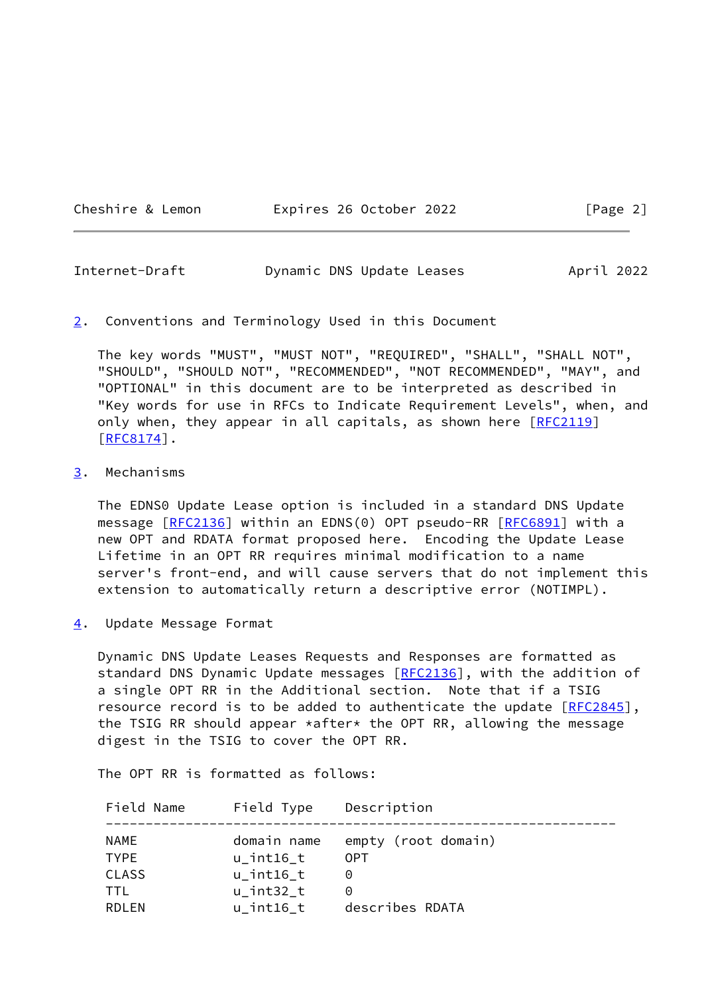#### Cheshire & Lemon **Expires 26 October 2022** [Page 2]

<span id="page-2-1"></span>

| Internet-Draft | Dynamic DNS Update Leases | April 2022 |  |
|----------------|---------------------------|------------|--|
|                |                           |            |  |

#### <span id="page-2-0"></span>[2](#page-2-0). Conventions and Terminology Used in this Document

 The key words "MUST", "MUST NOT", "REQUIRED", "SHALL", "SHALL NOT", "SHOULD", "SHOULD NOT", "RECOMMENDED", "NOT RECOMMENDED", "MAY", and "OPTIONAL" in this document are to be interpreted as described in "Key words for use in RFCs to Indicate Requirement Levels", when, and only when, they appear in all capitals, as shown here [[RFC2119](https://datatracker.ietf.org/doc/pdf/rfc2119)]  $[REC8174]$ .

### <span id="page-2-2"></span>[3](#page-2-2). Mechanisms

 The EDNS0 Update Lease option is included in a standard DNS Update message [\[RFC2136](https://datatracker.ietf.org/doc/pdf/rfc2136)] within an EDNS(0) OPT pseudo-RR [[RFC6891](https://datatracker.ietf.org/doc/pdf/rfc6891)] with a new OPT and RDATA format proposed here. Encoding the Update Lease Lifetime in an OPT RR requires minimal modification to a name server's front-end, and will cause servers that do not implement this extension to automatically return a descriptive error (NOTIMPL).

<span id="page-2-3"></span>[4](#page-2-3). Update Message Format

 Dynamic DNS Update Leases Requests and Responses are formatted as standard DNS Dynamic Update messages [\[RFC2136](https://datatracker.ietf.org/doc/pdf/rfc2136)], with the addition of a single OPT RR in the Additional section. Note that if a TSIG resource record is to be added to authenticate the update  $[REC2845]$ , the TSIG RR should appear \*after\* the OPT RR, allowing the message digest in the TSIG to cover the OPT RR.

The OPT RR is formatted as follows:

| Field Name   | Field Type       | Description         |
|--------------|------------------|---------------------|
| NAME         | domain name      | empty (root domain) |
| <b>TYPE</b>  | $u$ _int $16$ _t | 0PT                 |
| <b>CLASS</b> | u int16 t        | $\Theta$            |
| TTL          | u int32 t        | $\Theta$            |
| RDI FN       | u int16 t        | describes RDATA     |
|              |                  |                     |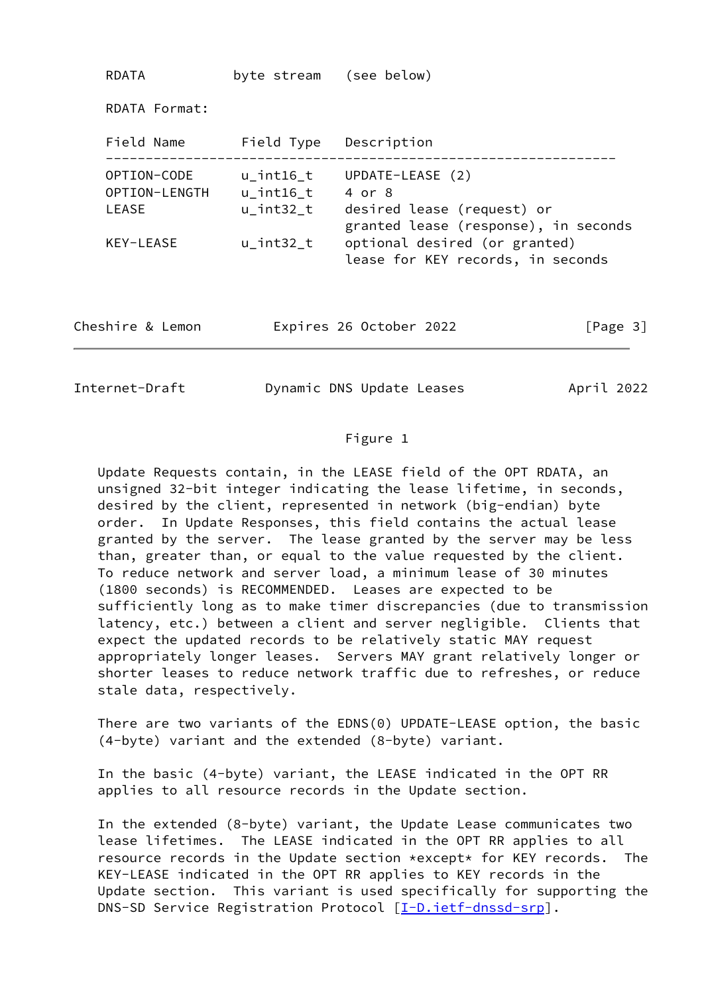| RDATA                                 | byte stream (see below)                           |                                                                                                  |          |
|---------------------------------------|---------------------------------------------------|--------------------------------------------------------------------------------------------------|----------|
| RDATA Format:                         |                                                   |                                                                                                  |          |
| Field Name                            | Field Type                                        | Description                                                                                      |          |
| OPTION-CODE<br>OPTION-LENGTH<br>LEASE | $u$ _int $16$ _t<br>$u$ _int $16$ _t<br>u int32 t | UPDATE-LEASE (2)<br>4 or 8<br>desired lease (request) or<br>granted lease (response), in seconds |          |
| KEY-LEASE                             | $u$ _int32_t                                      | optional desired (or granted)<br>lease for KEY records, in seconds                               |          |
| Cheshire & Lemon                      |                                                   | Expires 26 October 2022                                                                          | [Page 3] |
|                                       |                                                   |                                                                                                  |          |

<span id="page-3-0"></span>Internet-Draft Dynamic DNS Update Leases April 2022

## Figure 1

 Update Requests contain, in the LEASE field of the OPT RDATA, an unsigned 32-bit integer indicating the lease lifetime, in seconds, desired by the client, represented in network (big-endian) byte order. In Update Responses, this field contains the actual lease granted by the server. The lease granted by the server may be less than, greater than, or equal to the value requested by the client. To reduce network and server load, a minimum lease of 30 minutes (1800 seconds) is RECOMMENDED. Leases are expected to be sufficiently long as to make timer discrepancies (due to transmission latency, etc.) between a client and server negligible. Clients that expect the updated records to be relatively static MAY request appropriately longer leases. Servers MAY grant relatively longer or shorter leases to reduce network traffic due to refreshes, or reduce stale data, respectively.

 There are two variants of the EDNS(0) UPDATE-LEASE option, the basic (4-byte) variant and the extended (8-byte) variant.

 In the basic (4-byte) variant, the LEASE indicated in the OPT RR applies to all resource records in the Update section.

 In the extended (8-byte) variant, the Update Lease communicates two lease lifetimes. The LEASE indicated in the OPT RR applies to all resource records in the Update section \*except\* for KEY records. The KEY-LEASE indicated in the OPT RR applies to KEY records in the Update section. This variant is used specifically for supporting the DNS-SD Service Registration Protocol [\[I-D.ietf-dnssd-srp\]](#page-6-2).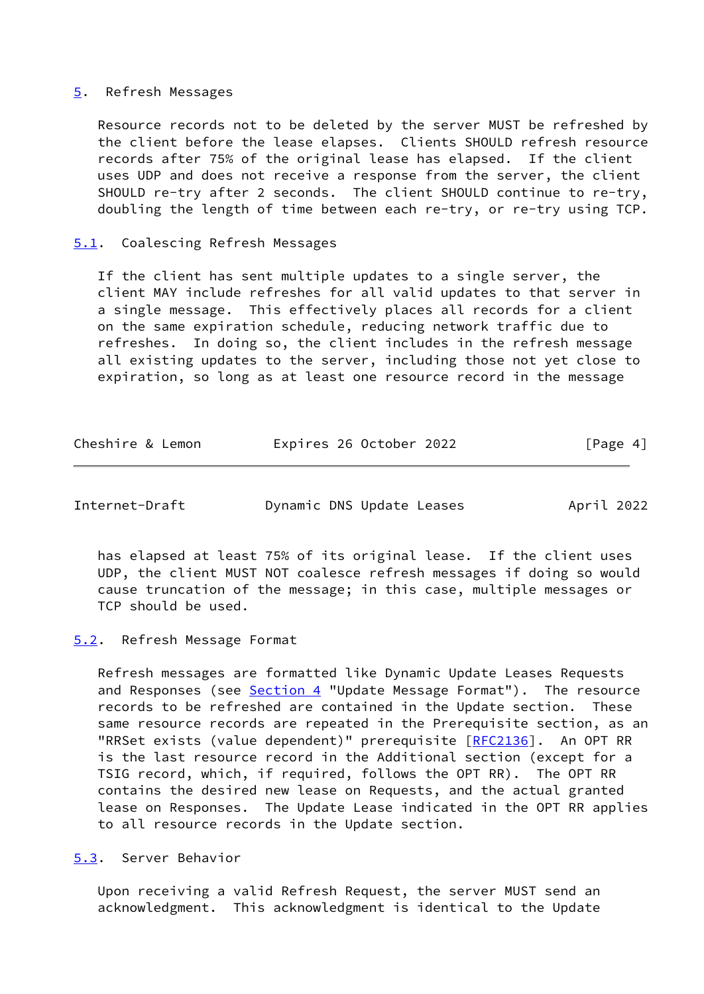#### <span id="page-4-0"></span>[5](#page-4-0). Refresh Messages

 Resource records not to be deleted by the server MUST be refreshed by the client before the lease elapses. Clients SHOULD refresh resource records after 75% of the original lease has elapsed. If the client uses UDP and does not receive a response from the server, the client SHOULD re-try after 2 seconds. The client SHOULD continue to re-try, doubling the length of time between each re-try, or re-try using TCP.

### <span id="page-4-1"></span>[5.1](#page-4-1). Coalescing Refresh Messages

 If the client has sent multiple updates to a single server, the client MAY include refreshes for all valid updates to that server in a single message. This effectively places all records for a client on the same expiration schedule, reducing network traffic due to refreshes. In doing so, the client includes in the refresh message all existing updates to the server, including those not yet close to expiration, so long as at least one resource record in the message

| [Page 4] |
|----------|
|          |

<span id="page-4-3"></span>Internet-Draft Dynamic DNS Update Leases April 2022

 has elapsed at least 75% of its original lease. If the client uses UDP, the client MUST NOT coalesce refresh messages if doing so would cause truncation of the message; in this case, multiple messages or TCP should be used.

#### <span id="page-4-2"></span>[5.2](#page-4-2). Refresh Message Format

 Refresh messages are formatted like Dynamic Update Leases Requests and Responses (see [Section 4](#page-2-3) "Update Message Format"). The resource records to be refreshed are contained in the Update section. These same resource records are repeated in the Prerequisite section, as an "RRSet exists (value dependent)" prerequisite [[RFC2136](https://datatracker.ietf.org/doc/pdf/rfc2136)]. An OPT RR is the last resource record in the Additional section (except for a TSIG record, which, if required, follows the OPT RR). The OPT RR contains the desired new lease on Requests, and the actual granted lease on Responses. The Update Lease indicated in the OPT RR applies to all resource records in the Update section.

<span id="page-4-4"></span>[5.3](#page-4-4). Server Behavior

 Upon receiving a valid Refresh Request, the server MUST send an acknowledgment. This acknowledgment is identical to the Update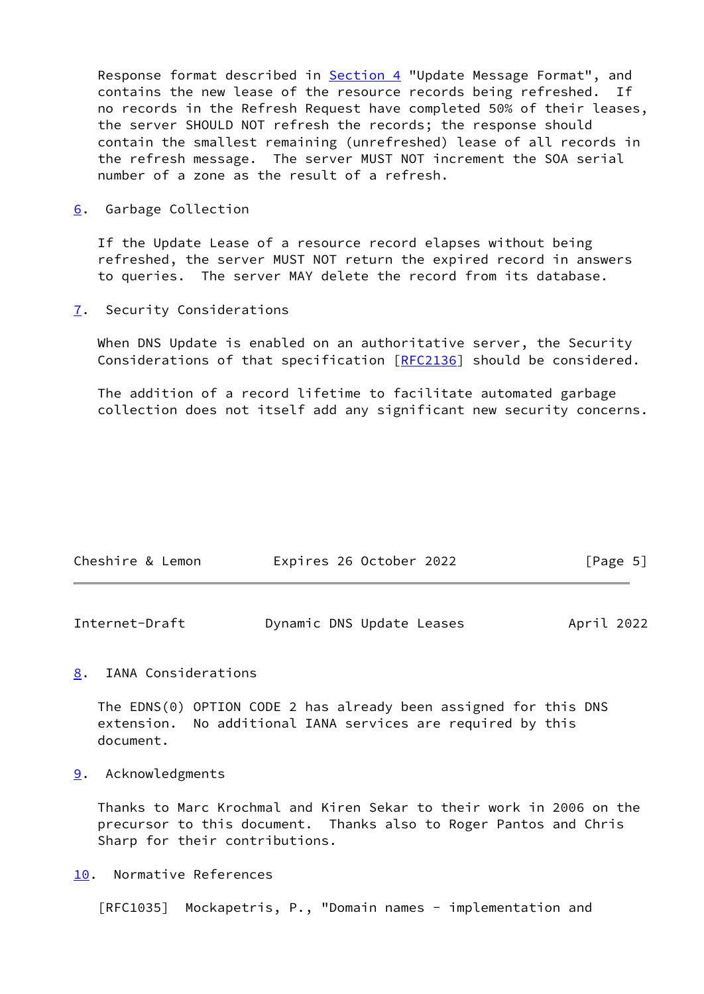Response format described in **Section 4 "Update Message Format"**, and contains the new lease of the resource records being refreshed. If no records in the Refresh Request have completed 50% of their leases, the server SHOULD NOT refresh the records; the response should contain the smallest remaining (unrefreshed) lease of all records in the refresh message. The server MUST NOT increment the SOA serial number of a zone as the result of a refresh.

<span id="page-5-0"></span>[6](#page-5-0). Garbage Collection

 If the Update Lease of a resource record elapses without being refreshed, the server MUST NOT return the expired record in answers to queries. The server MAY delete the record from its database.

<span id="page-5-1"></span>[7](#page-5-1). Security Considerations

 When DNS Update is enabled on an authoritative server, the Security Considerations of that specification [\[RFC2136](https://datatracker.ietf.org/doc/pdf/rfc2136)] should be considered.

 The addition of a record lifetime to facilitate automated garbage collection does not itself add any significant new security concerns.

| Cheshire & Lemon | Expires 26 October 2022 | [Page 5] |  |
|------------------|-------------------------|----------|--|
|                  |                         |          |  |

<span id="page-5-3"></span>

| Internet-Draft | Dynamic DNS Update Leases | April 2022 |
|----------------|---------------------------|------------|
|----------------|---------------------------|------------|

# <span id="page-5-2"></span>[8](#page-5-2). IANA Considerations

 The EDNS(0) OPTION CODE 2 has already been assigned for this DNS extension. No additional IANA services are required by this document.

<span id="page-5-4"></span>[9](#page-5-4). Acknowledgments

 Thanks to Marc Krochmal and Kiren Sekar to their work in 2006 on the precursor to this document. Thanks also to Roger Pantos and Chris Sharp for their contributions.

<span id="page-5-5"></span>[10.](#page-5-5) Normative References

[RFC1035] Mockapetris, P., "Domain names - implementation and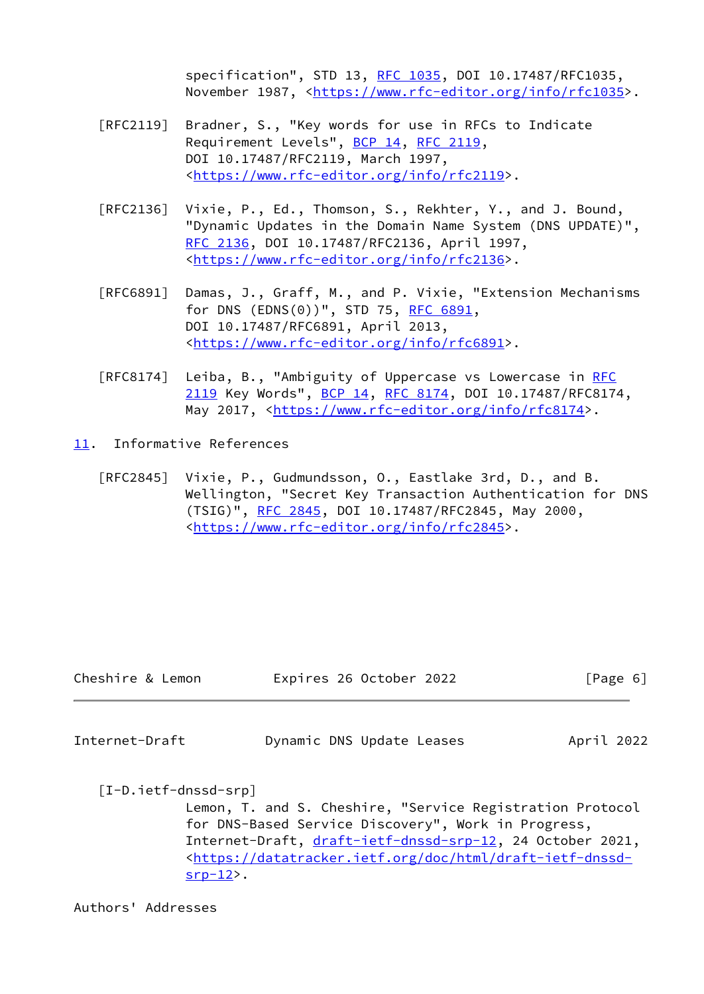specification", STD 13, [RFC 1035,](https://datatracker.ietf.org/doc/pdf/rfc1035) DOI 10.17487/RFC1035, November 1987, <<https://www.rfc-editor.org/info/rfc1035>>.

- [RFC2119] Bradner, S., "Key words for use in RFCs to Indicate Requirement Levels", [BCP 14](https://datatracker.ietf.org/doc/pdf/bcp14), [RFC 2119](https://datatracker.ietf.org/doc/pdf/rfc2119), DOI 10.17487/RFC2119, March 1997, <[https://www.rfc-editor.org/info/rfc2119>](https://www.rfc-editor.org/info/rfc2119).
- [RFC2136] Vixie, P., Ed., Thomson, S., Rekhter, Y., and J. Bound, "Dynamic Updates in the Domain Name System (DNS UPDATE)", [RFC 2136,](https://datatracker.ietf.org/doc/pdf/rfc2136) DOI 10.17487/RFC2136, April 1997, <[https://www.rfc-editor.org/info/rfc2136>](https://www.rfc-editor.org/info/rfc2136).
- [RFC6891] Damas, J., Graff, M., and P. Vixie, "Extension Mechanisms for DNS (EDNS(0))", STD 75, [RFC 6891,](https://datatracker.ietf.org/doc/pdf/rfc6891) DOI 10.17487/RFC6891, April 2013, <[https://www.rfc-editor.org/info/rfc6891>](https://www.rfc-editor.org/info/rfc6891).
- [RFC8174] Leiba, B., "Ambiguity of Uppercase vs Lowercase in [RFC](https://datatracker.ietf.org/doc/pdf/rfc2119) [2119](https://datatracker.ietf.org/doc/pdf/rfc2119) Key Words", [BCP 14](https://datatracker.ietf.org/doc/pdf/bcp14), [RFC 8174,](https://datatracker.ietf.org/doc/pdf/rfc8174) DOI 10.17487/RFC8174, May 2017, [<https://www.rfc-editor.org/info/rfc8174](https://www.rfc-editor.org/info/rfc8174)>.
- <span id="page-6-0"></span>[11.](#page-6-0) Informative References
	- [RFC2845] Vixie, P., Gudmundsson, O., Eastlake 3rd, D., and B. Wellington, "Secret Key Transaction Authentication for DNS (TSIG)", [RFC 2845,](https://datatracker.ietf.org/doc/pdf/rfc2845) DOI 10.17487/RFC2845, May 2000, <[https://www.rfc-editor.org/info/rfc2845>](https://www.rfc-editor.org/info/rfc2845).

| Cheshire & Lemon | Expires 26 October 2022 | [Page 6] |  |
|------------------|-------------------------|----------|--|
|                  |                         |          |  |

<span id="page-6-1"></span>Internet-Draft Dynamic DNS Update Leases April 2022

<span id="page-6-2"></span>[I-D.ietf-dnssd-srp]

 Lemon, T. and S. Cheshire, "Service Registration Protocol for DNS-Based Service Discovery", Work in Progress, Internet-Draft, [draft-ietf-dnssd-srp-12](https://datatracker.ietf.org/doc/pdf/draft-ietf-dnssd-srp-12), 24 October 2021, <[https://datatracker.ietf.org/doc/html/draft-ietf-dnssd](https://datatracker.ietf.org/doc/html/draft-ietf-dnssd-srp-12) [srp-12](https://datatracker.ietf.org/doc/html/draft-ietf-dnssd-srp-12)>.